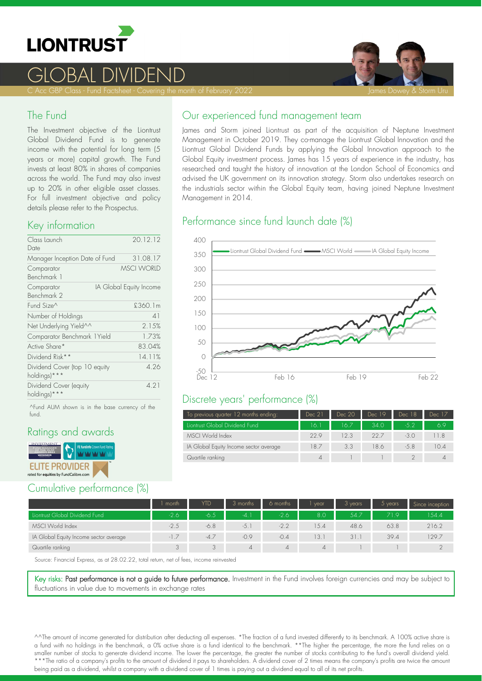

## GLOBAL DIVIDEND

C Acc GBP Class - Fund Factsheet - Covering the month of February 2022 James Dowey & Storm Uru James Dowey & Storm Uru



#### The Fund

The Investment objective of the Liontrust Global Dividend Fund is to generate income with the potential for long term (5 years or more) capital growth. The Fund invests at least 80% in shares of companies across the world. The Fund may also invest up to 20% in other eligible asset classes. For full investment objective and policy details please refer to the Prospectus.

#### Key information

| Class Launch<br>Date                          | 20.12.12                |
|-----------------------------------------------|-------------------------|
| Manager Inception Date of Fund                | 31.08.17                |
| Comparator<br>Benchmark 1                     | <b>MSCI WORLD</b>       |
| Comparator<br>Benchmark 2                     | IA Global Equity Income |
| Fund Size^                                    | £360.1m                 |
| Number of Holdings                            | 41                      |
| Net Underlying Yield^^                        | 2.15%                   |
| Comparator Benchmark 1 Yield                  | 1.73%                   |
| Active Share*                                 | 83.04%                  |
| Dividend Risk**                               | 14.11%                  |
| Dividend Cover (top 10 equity<br>holdings)*** | 4 26                    |
| Dividend Cover (equity<br>holdings)***        | 4.21                    |

^Fund AUM shown is in the base currency of the fund.

### Ratings and awards



## Cumulative performance (%)

#### Our experienced fund management team

James and Storm joined Liontrust as part of the acquisition of Neptune Investment Management in October 2019. They co-manage the Liontrust Global Innovation and the Liontrust Global Dividend Funds by applying the Global Innovation approach to the Global Equity investment process. James has 15 years of experience in the industry, has researched and taught the history of innovation at the London School of Economics and advised the UK government on its innovation strategy. Storm also undertakes research on the industrials sector within the Global Equity team, having joined Neptune Investment Management in 2014.

## Performance since fund launch date (%)



#### Discrete years' performance (%)

| To previous quarter 12 months ending:  | Dec 21      | Dec 20 | Dec 19 | Dec 18 | Dec 17 |
|----------------------------------------|-------------|--------|--------|--------|--------|
| Liontrust Global Dividend Fund         | 16.1        | 16.7   | 34.0   | $-5.2$ | 69     |
| MSCI World Index                       | 22.9        | 12.3   | 22.7   | $-3.0$ | 11.8   |
| IA Global Equity Income sector average | 18.7        | 3.3    | 18.6   | $-5.8$ | 10.4   |
| Quartile ranking                       | $\varDelta$ |        |        |        | 4      |

|                                        | month  | <b>YTD</b> | 3 months | 6 months       | vear           | 3 years | $5$ years | Since inception |
|----------------------------------------|--------|------------|----------|----------------|----------------|---------|-----------|-----------------|
| Liontrust Global Dividend Fund         | $-2.6$ | -6.5       | $-4.1$   | $-2.6$         | 8.0            | 54.7    | 719       | 154.4           |
| MSCI World Index                       | $-2.5$ | $-6.8$     | $-5.1$   | $-2.2$         | 5.4            | 48.6    | 63.8      | 216.2           |
| IA Global Equity Income sector average |        | $-4.7$     | $-0.9$   | $-0.4$         | 3.1            | 31.1    | 39.4      | 29.7            |
| Quartile ranking                       |        | $\cap$     | $\Delta$ | $\overline{4}$ | $\overline{4}$ |         |           |                 |

Source: Financial Express, as at 28.02.22, total return, net of fees, income reinvested

Key risks: Past performance is not a guide to future performance. Investment in the Fund involves foreign currencies and may be subject to fluctuations in value due to movements in exchange rates

^^The amount of income generated for distribution after deducting all expenses. \*The fraction of a fund invested differently to its benchmark. A 100% active share is a fund with no holdings in the benchmark, a 0% active share is a fund identical to the benchmark. \*\*The higher the percentage, the more the fund relies on a smaller number of stocks to generate dividend income. The lower the percentage, the greater the number of stocks contributing to the fund's overall dividend yield. \*\*\*The ratio of a company's profits to the amount of dividend it pays to shareholders. A dividend cover of 2 times means the company's profits are twice the amount being paid as a dividend, whilst a company with a dividend cover of 1 times is paying out a dividend equal to all of its net profits.